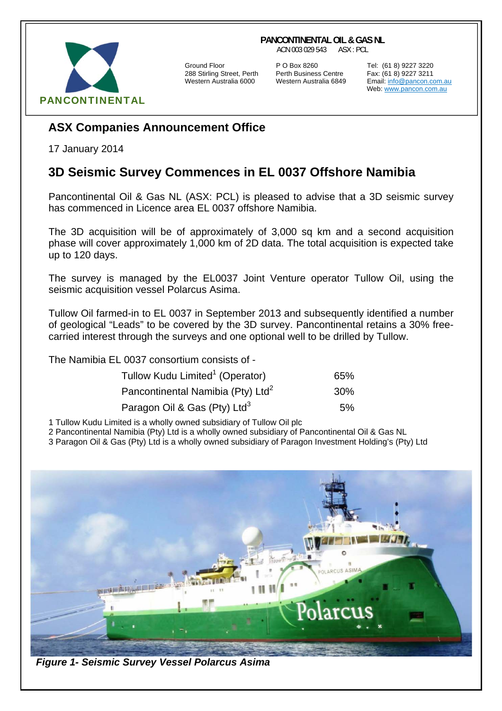## **PANCONTINENTAL OIL & GAS NL**

ACN 003 029 543 ASX : PCL



288 Stirling Street, Perth Perth Business Centre Fax: (61 8) 9227 3211

Ground Floor **P O Box 8260** Tel: (61 8) 9227 3220<br>288 Stirling Street, Perth Perth Business Centre Fax: (61 8) 9227 3211

Email: info@pancon.com.au Web: www.pancon.com.au

## **ASX Companies Announcement Office**

17 January 2014

## **3D Seismic Survey Commences in EL 0037 Offshore Namibia**

Pancontinental Oil & Gas NL (ASX: PCL) is pleased to advise that a 3D seismic survey has commenced in Licence area EL 0037 offshore Namibia.

The 3D acquisition will be of approximately of 3,000 sq km and a second acquisition phase will cover approximately 1,000 km of 2D data. The total acquisition is expected take up to 120 days.

The survey is managed by the EL0037 Joint Venture operator Tullow Oil, using the seismic acquisition vessel Polarcus Asima.

Tullow Oil farmed-in to EL 0037 in September 2013 and subsequently identified a number of geological "Leads" to be covered by the 3D survey. Pancontinental retains a 30% freecarried interest through the surveys and one optional well to be drilled by Tullow.

The Namibia EL 0037 consortium consists of -

| Tullow Kudu Limited <sup>1</sup> (Operator)   | 65% |
|-----------------------------------------------|-----|
| Pancontinental Namibia (Pty) Ltd <sup>2</sup> | 30% |
| Paragon Oil & Gas (Pty) Ltd <sup>3</sup>      | 5%  |

1 Tullow Kudu Limited is a wholly owned subsidiary of Tullow Oil plc

2 Pancontinental Namibia (Pty) Ltd is a wholly owned subsidiary of Pancontinental Oil & Gas NL

3 Paragon Oil & Gas (Pty) Ltd is a wholly owned subsidiary of Paragon Investment Holding's (Pty) Ltd



 *Figure 1- Seismic Survey Vessel Polarcus Asima*